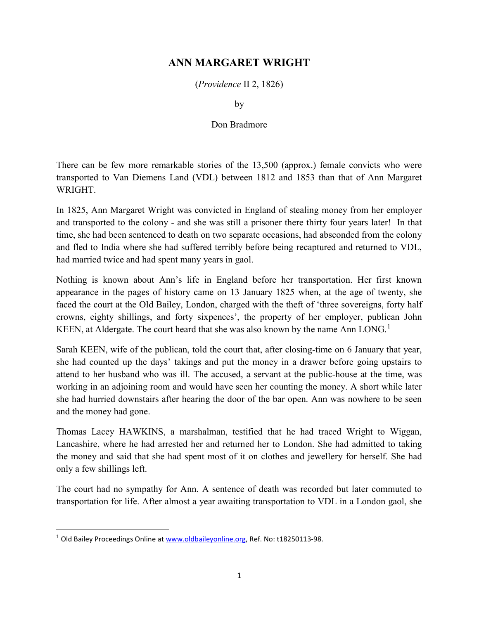## ANN MARGARET WRIGHT

(Providence II 2, 1826)

by

## Don Bradmore

There can be few more remarkable stories of the 13,500 (approx.) female convicts who were transported to Van Diemens Land (VDL) between 1812 and 1853 than that of Ann Margaret WRIGHT.

In 1825, Ann Margaret Wright was convicted in England of stealing money from her employer and transported to the colony - and she was still a prisoner there thirty four years later! In that time, she had been sentenced to death on two separate occasions, had absconded from the colony and fled to India where she had suffered terribly before being recaptured and returned to VDL, had married twice and had spent many years in gaol.

Nothing is known about Ann's life in England before her transportation. Her first known appearance in the pages of history came on 13 January 1825 when, at the age of twenty, she faced the court at the Old Bailey, London, charged with the theft of 'three sovereigns, forty half crowns, eighty shillings, and forty sixpences', the property of her employer, publican John KEEN, at Aldergate. The court heard that she was also known by the name Ann  $LONG<sup>1</sup>$ 

Sarah KEEN, wife of the publican, told the court that, after closing-time on 6 January that year, she had counted up the days' takings and put the money in a drawer before going upstairs to attend to her husband who was ill. The accused, a servant at the public-house at the time, was working in an adjoining room and would have seen her counting the money. A short while later she had hurried downstairs after hearing the door of the bar open. Ann was nowhere to be seen and the money had gone.

Thomas Lacey HAWKINS, a marshalman, testified that he had traced Wright to Wiggan, Lancashire, where he had arrested her and returned her to London. She had admitted to taking the money and said that she had spent most of it on clothes and jewellery for herself. She had only a few shillings left.

The court had no sympathy for Ann. A sentence of death was recorded but later commuted to transportation for life. After almost a year awaiting transportation to VDL in a London gaol, she

 $\overline{a}$ 

<sup>&</sup>lt;sup>1</sup> Old Bailey Proceedings Online at www.oldbaileyonline.org, Ref. No: t18250113-98.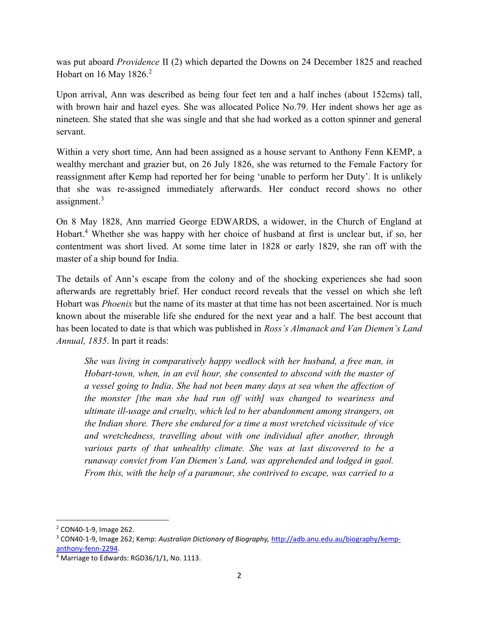was put aboard Providence II (2) which departed the Downs on 24 December 1825 and reached Hobart on 16 May 1826. $2$ 

Upon arrival, Ann was described as being four feet ten and a half inches (about 152cms) tall, with brown hair and hazel eyes. She was allocated Police No.79. Her indent shows her age as nineteen. She stated that she was single and that she had worked as a cotton spinner and general servant.

Within a very short time, Ann had been assigned as a house servant to Anthony Fenn KEMP, a wealthy merchant and grazier but, on 26 July 1826, she was returned to the Female Factory for reassignment after Kemp had reported her for being 'unable to perform her Duty'. It is unlikely that she was re-assigned immediately afterwards. Her conduct record shows no other assignment.<sup>3</sup>

On 8 May 1828, Ann married George EDWARDS, a widower, in the Church of England at Hobart.<sup>4</sup> Whether she was happy with her choice of husband at first is unclear but, if so, her contentment was short lived. At some time later in 1828 or early 1829, she ran off with the master of a ship bound for India.

The details of Ann's escape from the colony and of the shocking experiences she had soon afterwards are regrettably brief. Her conduct record reveals that the vessel on which she left Hobart was *Phoenix* but the name of its master at that time has not been ascertained. Nor is much known about the miserable life she endured for the next year and a half. The best account that has been located to date is that which was published in Ross's Almanack and Van Diemen's Land Annual, 1835. In part it reads:

She was living in comparatively happy wedlock with her husband, a free man, in Hobart-town, when, in an evil hour, she consented to abscond with the master of a vessel going to India. She had not been many days at sea when the affection of the monster [the man she had run off with] was changed to weariness and ultimate ill-usage and cruelty, which led to her abandonment among strangers, on the Indian shore. There she endured for a time a most wretched vicissitude of vice and wretchedness, travelling about with one individual after another, through various parts of that unhealthy climate. She was at last discovered to be a runaway convict from Van Diemen's Land, was apprehended and lodged in gaol. From this, with the help of a paramour, she contrived to escape, was carried to a

<sup>2</sup> CON40-1-9, Image 262.

<sup>&</sup>lt;sup>3</sup> CON40-1-9, Image 262; Kemp: Australian Dictionary of Biography, http://adb.anu.edu.au/biography/kempanthony-fenn-2294.

<sup>&</sup>lt;sup>4</sup> Marriage to Edwards: RGD36/1/1, No. 1113.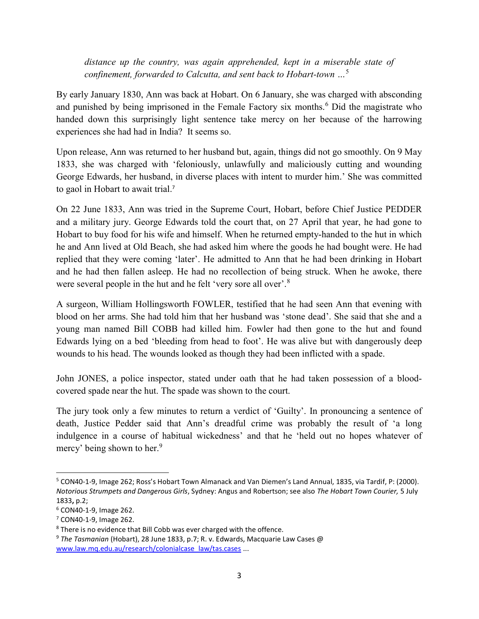distance up the country, was again apprehended, kept in a miserable state of confinement, forwarded to Calcutta, and sent back to Hobart-town  $\ldots$ <sup>5</sup>

By early January 1830, Ann was back at Hobart. On 6 January, she was charged with absconding and punished by being imprisoned in the Female Factory six months.<sup>6</sup> Did the magistrate who handed down this surprisingly light sentence take mercy on her because of the harrowing experiences she had had in India? It seems so.

Upon release, Ann was returned to her husband but, again, things did not go smoothly. On 9 May 1833, she was charged with 'feloniously, unlawfully and maliciously cutting and wounding George Edwards, her husband, in diverse places with intent to murder him.' She was committed to gaol in Hobart to await trial. 7

On 22 June 1833, Ann was tried in the Supreme Court, Hobart, before Chief Justice PEDDER and a military jury. George Edwards told the court that, on 27 April that year, he had gone to Hobart to buy food for his wife and himself. When he returned empty-handed to the hut in which he and Ann lived at Old Beach, she had asked him where the goods he had bought were. He had replied that they were coming 'later'. He admitted to Ann that he had been drinking in Hobart and he had then fallen asleep. He had no recollection of being struck. When he awoke, there were several people in the hut and he felt 'very sore all over'.<sup>8</sup>

A surgeon, William Hollingsworth FOWLER, testified that he had seen Ann that evening with blood on her arms. She had told him that her husband was 'stone dead'. She said that she and a young man named Bill COBB had killed him. Fowler had then gone to the hut and found Edwards lying on a bed 'bleeding from head to foot'. He was alive but with dangerously deep wounds to his head. The wounds looked as though they had been inflicted with a spade.

John JONES, a police inspector, stated under oath that he had taken possession of a bloodcovered spade near the hut. The spade was shown to the court.

The jury took only a few minutes to return a verdict of 'Guilty'. In pronouncing a sentence of death, Justice Pedder said that Ann's dreadful crime was probably the result of 'a long indulgence in a course of habitual wickedness' and that he 'held out no hopes whatever of mercy' being shown to her.<sup>9</sup>

 $\overline{a}$ 

<sup>&</sup>lt;sup>5</sup> CON40-1-9, Image 262; Ross's Hobart Town Almanack and Van Diemen's Land Annual, 1835, via Tardif, P: (2000). Notorious Strumpets and Dangerous Girls, Sydney: Angus and Robertson; see also The Hobart Town Courier, 5 July 1833, p.2;

<sup>6</sup> CON40-1-9, Image 262.

<sup>7</sup> CON40-1-9, Image 262.

<sup>&</sup>lt;sup>8</sup> There is no evidence that Bill Cobb was ever charged with the offence.

 $9$  The Tasmanian (Hobart), 28 June 1833, p.7; R. v. Edwards, Macquarie Law Cases @ www.law.mq.edu.au/research/colonialcase\_law/tas.cases ...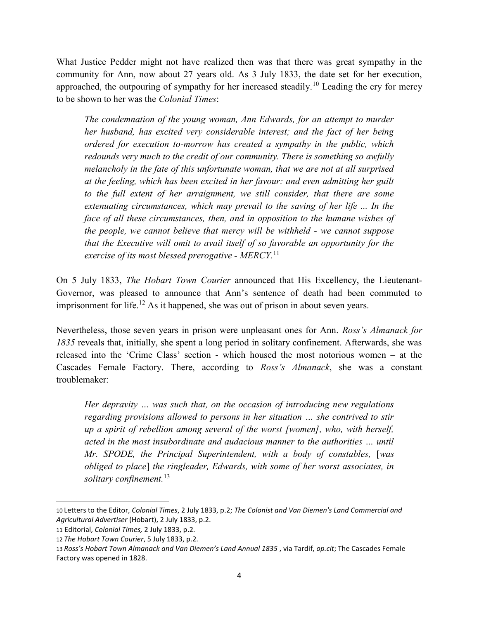What Justice Pedder might not have realized then was that there was great sympathy in the community for Ann, now about 27 years old. As 3 July 1833, the date set for her execution, approached, the outpouring of sympathy for her increased steadily.<sup>10</sup> Leading the cry for mercy to be shown to her was the Colonial Times:

The condemnation of the young woman, Ann Edwards, for an attempt to murder her husband, has excited very considerable interest; and the fact of her being ordered for execution to-morrow has created a sympathy in the public, which redounds very much to the credit of our community. There is something so awfully melancholy in the fate of this unfortunate woman, that we are not at all surprised at the feeling, which has been excited in her favour: and even admitting her guilt to the full extent of her arraignment, we still consider, that there are some extenuating circumstances, which may prevail to the saving of her life ... In the face of all these circumstances, then, and in opposition to the humane wishes of the people, we cannot believe that mercy will be withheld - we cannot suppose that the Executive will omit to avail itself of so favorable an opportunity for the exercise of its most blessed prerogative - MERCY.<sup>11</sup>

On 5 July 1833, The Hobart Town Courier announced that His Excellency, the Lieutenant-Governor, was pleased to announce that Ann's sentence of death had been commuted to imprisonment for life.<sup>12</sup> As it happened, she was out of prison in about seven years.

Nevertheless, those seven years in prison were unpleasant ones for Ann. Ross's Almanack for 1835 reveals that, initially, she spent a long period in solitary confinement. Afterwards, she was released into the 'Crime Class' section - which housed the most notorious women – at the Cascades Female Factory. There, according to Ross's Almanack, she was a constant troublemaker:

Her depravity … was such that, on the occasion of introducing new regulations regarding provisions allowed to persons in her situation … she contrived to stir up a spirit of rebellion among several of the worst [women], who, with herself, acted in the most insubordinate and audacious manner to the authorities … until Mr. SPODE, the Principal Superintendent, with a body of constables, [was obliged to place] the ringleader, Edwards, with some of her worst associates, in solitary confinement.<sup>13</sup>

<sup>10</sup> Letters to the Editor, Colonial Times, 2 July 1833, p.2; The Colonist and Van Diemen's Land Commercial and Agricultural Advertiser (Hobart), 2 July 1833, p.2.

<sup>11</sup> Editorial, Colonial Times, 2 July 1833, p.2.

<sup>12</sup> The Hobart Town Courier, 5 July 1833, p.2.

<sup>13</sup> Ross's Hobart Town Almanack and Van Diemen's Land Annual 1835, via Tardif, op.cit; The Cascades Female Factory was opened in 1828.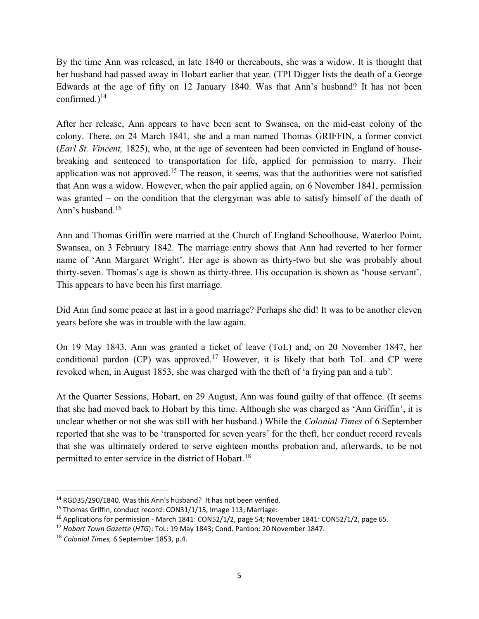By the time Ann was released, in late 1840 or thereabouts, she was a widow. It is thought that her husband had passed away in Hobart earlier that year. (TPI Digger lists the death of a George Edwards at the age of fifty on 12 January 1840. Was that Ann's husband? It has not been confirmed.) $^{14}$ 

After her release, Ann appears to have been sent to Swansea, on the mid-east colony of the colony. There, on 24 March 1841, she and a man named Thomas GRIFFIN, a former convict (*Earl St. Vincent*, 1825), who, at the age of seventeen had been convicted in England of housebreaking and sentenced to transportation for life, applied for permission to marry. Their application was not approved.<sup>15</sup> The reason, it seems, was that the authorities were not satisfied that Ann was a widow. However, when the pair applied again, on 6 November 1841, permission was granted – on the condition that the clergyman was able to satisfy himself of the death of Ann's husband.<sup>16</sup>

Ann and Thomas Griffin were married at the Church of England Schoolhouse, Waterloo Point, Swansea, on 3 February 1842. The marriage entry shows that Ann had reverted to her former name of 'Ann Margaret Wright'. Her age is shown as thirty-two but she was probably about thirty-seven. Thomas's age is shown as thirty-three. His occupation is shown as 'house servant'. This appears to have been his first marriage.

Did Ann find some peace at last in a good marriage? Perhaps she did! It was to be another eleven years before she was in trouble with the law again.

On 19 May 1843, Ann was granted a ticket of leave (ToL) and, on 20 November 1847, her conditional pardon (CP) was approved.<sup>17</sup> However, it is likely that both ToL and CP were revoked when, in August 1853, she was charged with the theft of 'a frying pan and a tub'.

At the Quarter Sessions, Hobart, on 29 August, Ann was found guilty of that offence. (It seems that she had moved back to Hobart by this time. Although she was charged as 'Ann Griffin', it is unclear whether or not she was still with her husband.) While the Colonial Times of 6 September reported that she was to be 'transported for seven years' for the theft, her conduct record reveals that she was ultimately ordered to serve eighteen months probation and, afterwards, to be not permitted to enter service in the district of Hobart.<sup>18</sup>

 $\overline{a}$ 

<sup>&</sup>lt;sup>14</sup> RGD35/290/1840. Was this Ann's husband? It has not been verified.

<sup>&</sup>lt;sup>15</sup> Thomas Griffin, conduct record: CON31/1/15, Image 113; Marriage:

<sup>&</sup>lt;sup>16</sup> Applications for permission - March 1841: CON52/1/2, page 54; November 1841: CON52/1/2, page 65.

<sup>&</sup>lt;sup>17</sup> Hobart Town Gazette (HTG): ToL: 19 May 1843; Cond. Pardon: 20 November 1847.

<sup>18</sup> Colonial Times, 6 September 1853, p.4.